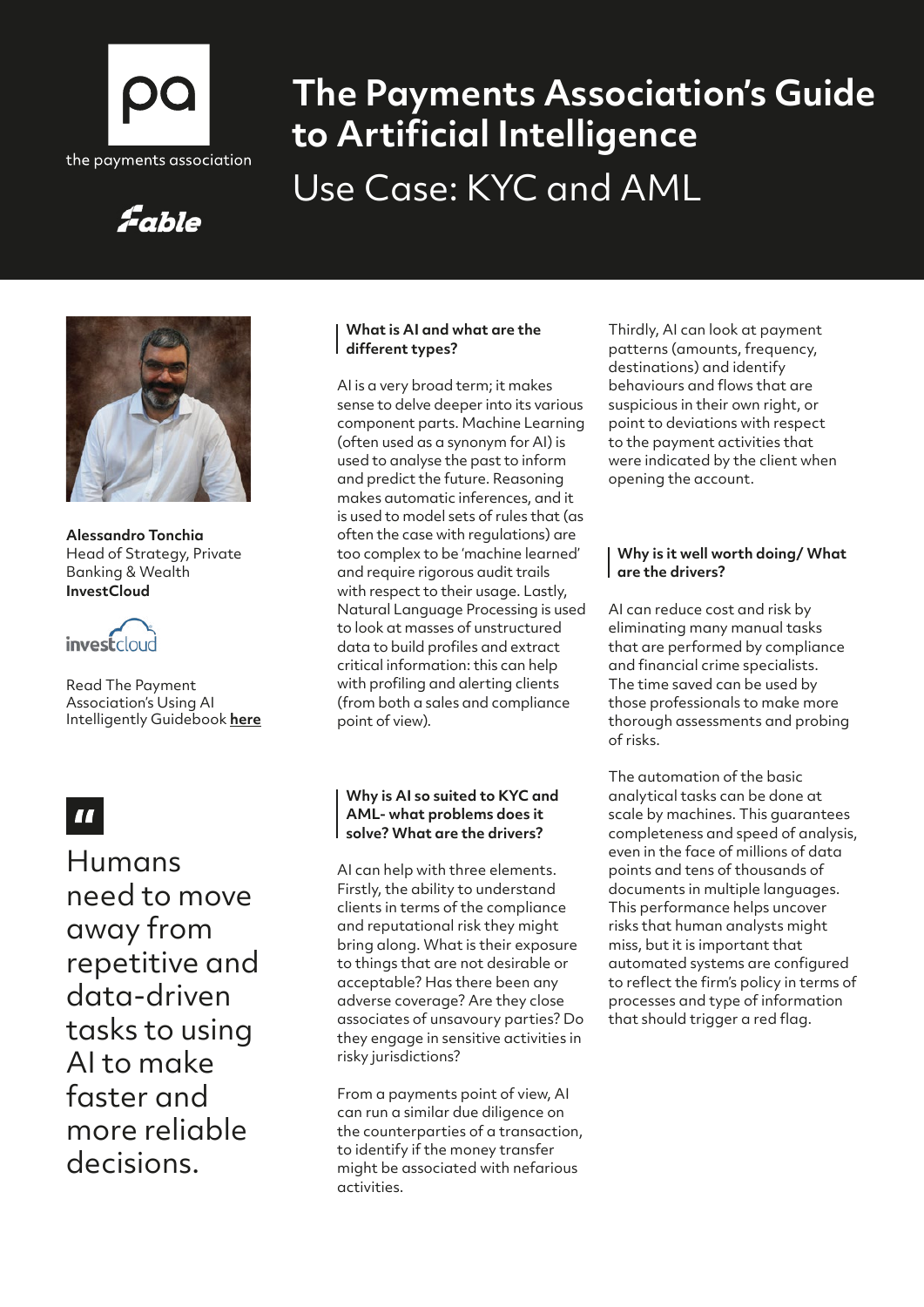

# **The Payments Association's Guide to Artificial Intelligence** Use Case: KYC and AML

## Fable



**Alessandro Tonchia**  Head of Strategy, Private Banking & Wealth **InvestCloud**



Read The Payment Association's Using AI Intelligently Guidebook **[here](https://thepaymentsassociation.org/whitepaper/using-ai-intelligently-smart-ways-to-use-artificial-intelligence-in-payments/)**

## $\blacksquare$

Humans need to move away from repetitive and data-driven tasks to using AI to make faster and more reliable decisions.

#### **What is AI and what are the different types?**

AI is a very broad term; it makes sense to delve deeper into its various component parts. Machine Learning (often used as a synonym for AI) is used to analyse the past to inform and predict the future. Reasoning makes automatic inferences, and it is used to model sets of rules that (as often the case with regulations) are too complex to be 'machine learned' and require rigorous audit trails with respect to their usage. Lastly, Natural Language Processing is used to look at masses of unstructured data to build profiles and extract critical information: this can help with profiling and alerting clients (from both a sales and compliance point of view).

#### **Why is AI so suited to KYC and AML- what problems does it solve? What are the drivers?**

AI can help with three elements. Firstly, the ability to understand clients in terms of the compliance and reputational risk they might bring along. What is their exposure to things that are not desirable or acceptable? Has there been any adverse coverage? Are they close associates of unsavoury parties? Do they engage in sensitive activities in risky jurisdictions?

From a payments point of view, AI can run a similar due diligence on the counterparties of a transaction, to identify if the money transfer might be associated with nefarious activities.

Thirdly, AI can look at payment patterns (amounts, frequency, destinations) and identify behaviours and flows that are suspicious in their own right, or point to deviations with respect to the payment activities that were indicated by the client when opening the account.

#### **Why is it well worth doing/ What are the drivers?**

AI can reduce cost and risk by eliminating many manual tasks that are performed by compliance and financial crime specialists. The time saved can be used by those professionals to make more thorough assessments and probing of risks.

The automation of the basic analytical tasks can be done at scale by machines. This guarantees completeness and speed of analysis, even in the face of millions of data points and tens of thousands of documents in multiple languages. This performance helps uncover risks that human analysts might miss, but it is important that automated systems are configured to reflect the firm's policy in terms of processes and type of information that should trigger a red flag.